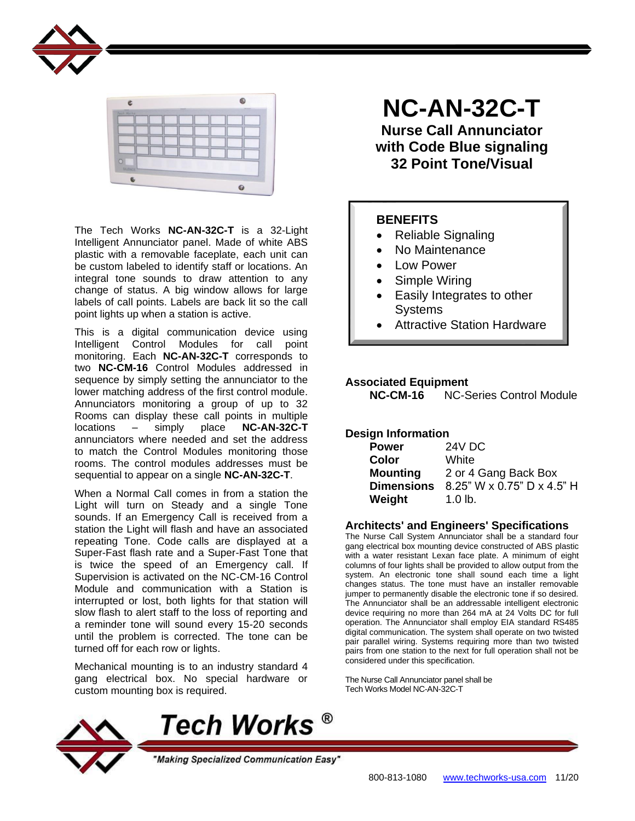



The Tech Works **NC-AN-32C-T** is a 32-Light Intelligent Annunciator panel. Made of white ABS plastic with a removable faceplate, each unit can be custom labeled to identify staff or locations. An integral tone sounds to draw attention to any change of status. A big window allows for large labels of call points. Labels are back lit so the call point lights up when a station is active.

This is a digital communication device using Intelligent Control Modules for call point monitoring. Each **NC-AN-32C-T** corresponds to two **NC-CM-16** Control Modules addressed in sequence by simply setting the annunciator to the lower matching address of the first control module. Annunciators monitoring a group of up to 32 Rooms can display these call points in multiple locations – simply place **NC-AN-32C-T** annunciators where needed and set the address to match the Control Modules monitoring those rooms. The control modules addresses must be sequential to appear on a single **NC-AN-32C-T**.

When a Normal Call comes in from a station the Light will turn on Steady and a single Tone sounds. If an Emergency Call is received from a station the Light will flash and have an associated repeating Tone. Code calls are displayed at a Super-Fast flash rate and a Super-Fast Tone that is twice the speed of an Emergency call. If Supervision is activated on the NC-CM-16 Control Module and communication with a Station is interrupted or lost, both lights for that station will slow flash to alert staff to the loss of reporting and a reminder tone will sound every 15-20 seconds until the problem is corrected. The tone can be turned off for each row or lights.

Mechanical mounting is to an industry standard 4 gang electrical box. No special hardware or custom mounting box is required.

**NC-AN-32C-T**

**Nurse Call Annunciator with Code Blue signaling 32 Point Tone/Visual**

### **BENEFITS**

- Reliable Signaling
- No Maintenance
- Low Power
- Simple Wiring
- Easily Integrates to other **Systems**
- Attractive Station Hardware

#### **Associated Equipment**

**NC-CM-16** NC-Series Control Module

#### **Design Information**

| 24V DC                     |
|----------------------------|
| White                      |
| 2 or 4 Gang Back Box       |
| 8.25" W x 0.75" D x 4.5" H |
| $1.0$ lb.                  |
|                            |

### **Architects' and Engineers' Specifications**

The Nurse Call System Annunciator shall be a standard four gang electrical box mounting device constructed of ABS plastic with a water resistant Lexan face plate. A minimum of eight columns of four lights shall be provided to allow output from the system. An electronic tone shall sound each time a light changes status. The tone must have an installer removable jumper to permanently disable the electronic tone if so desired. The Annunciator shall be an addressable intelligent electronic device requiring no more than 264 mA at 24 Volts DC for full operation. The Annunciator shall employ EIA standard RS485 digital communication. The system shall operate on two twisted pair parallel wiring. Systems requiring more than two twisted pairs from one station to the next for full operation shall not be considered under this specification.

The Nurse Call Annunciator panel shall be Tech Works Model NC-AN-32C-T